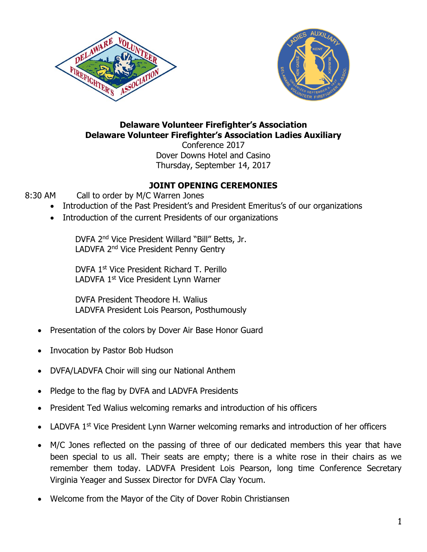



# **Delaware Volunteer Firefighter's Association Delaware Volunteer Firefighter's Association Ladies Auxiliary**

Conference 2017 Dover Downs Hotel and Casino Thursday, September 14, 2017

# **JOINT OPENING CEREMONIES**

- 8:30 AM Call to order by M/C Warren Jones
	- Introduction of the Past President's and President Emeritus's of our organizations
	- Introduction of the current Presidents of our organizations

DVFA 2nd Vice President Willard "Bill" Betts, Jr. LADVFA 2<sup>nd</sup> Vice President Penny Gentry

DVFA 1st Vice President Richard T. Perillo LADVFA 1st Vice President Lynn Warner

DVFA President Theodore H. Walius LADVFA President Lois Pearson, Posthumously

- Presentation of the colors by Dover Air Base Honor Guard
- Invocation by Pastor Bob Hudson
- DVFA/LADVFA Choir will sing our National Anthem
- Pledge to the flag by DVFA and LADVFA Presidents
- President Ted Walius welcoming remarks and introduction of his officers
- LADVFA 1<sup>st</sup> Vice President Lynn Warner welcoming remarks and introduction of her officers
- M/C Jones reflected on the passing of three of our dedicated members this year that have been special to us all. Their seats are empty; there is a white rose in their chairs as we remember them today. LADVFA President Lois Pearson, long time Conference Secretary Virginia Yeager and Sussex Director for DVFA Clay Yocum.
- Welcome from the Mayor of the City of Dover Robin Christiansen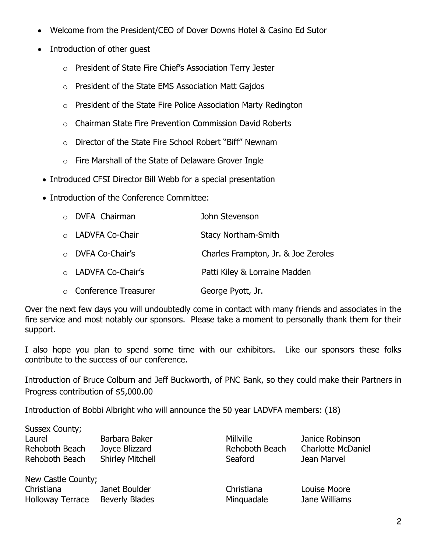- Welcome from the President/CEO of Dover Downs Hotel & Casino Ed Sutor
- Introduction of other guest
	- o President of State Fire Chief's Association Terry Jester
	- o President of the State EMS Association Matt Gajdos
	- o President of the State Fire Police Association Marty Redington
	- o Chairman State Fire Prevention Commission David Roberts
	- o Director of the State Fire School Robert "Biff" Newnam
	- o Fire Marshall of the State of Delaware Grover Ingle
- Introduced CFSI Director Bill Webb for a special presentation
- Introduction of the Conference Committee:

| o DVFA Chairman        | John Stevenson                      |
|------------------------|-------------------------------------|
| ○ LADVFA Co-Chair      | <b>Stacy Northam-Smith</b>          |
| ○ DVFA Co-Chair's      | Charles Frampton, Jr. & Joe Zeroles |
| o LADVFA Co-Chair's    | Patti Kiley & Lorraine Madden       |
| ○ Conference Treasurer | George Pyott, Jr.                   |

Over the next few days you will undoubtedly come in contact with many friends and associates in the fire service and most notably our sponsors. Please take a moment to personally thank them for their support.

I also hope you plan to spend some time with our exhibitors. Like our sponsors these folks contribute to the success of our conference.

Introduction of Bruce Colburn and Jeff Buckworth, of PNC Bank, so they could make their Partners in Progress contribution of \$5,000.00

Introduction of Bobbi Albright who will announce the 50 year LADVFA members: (18)

| Sussex County;          |                         |                  |                           |
|-------------------------|-------------------------|------------------|---------------------------|
| Laurel                  | Barbara Baker           | <b>Millville</b> | Janice Robinson           |
| Rehoboth Beach          | Joyce Blizzard          | Rehoboth Beach   | <b>Charlotte McDaniel</b> |
| Rehoboth Beach          | <b>Shirley Mitchell</b> | Seaford          | Jean Marvel               |
| New Castle County;      |                         |                  |                           |
| Christiana              | Janet Boulder           | Christiana       | Louise Moore              |
| <b>Holloway Terrace</b> | <b>Beverly Blades</b>   | Minguadale       | Jane Williams             |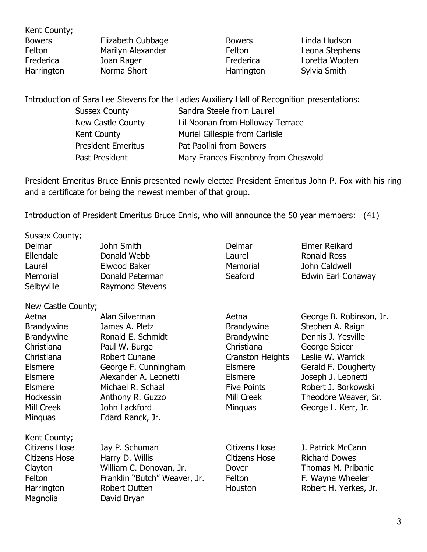Kent County; Bowers **Elizabeth Cubbage** Bowers **Linda Hudson** Felton Marilyn Alexander Felton Leona Stephens Frederica and Joan Rager and Frederica and Loretta Wooten Harrington Norma Short **Harrington** Sylvia Smith

Introduction of Sara Lee Stevens for the Ladies Auxiliary Hall of Recognition presentations: Sussex County **Sandra Steele from Laurel** New Castle County Lil Noonan from Holloway Terrace Kent County **Muriel Gillespie from Carlisle** President Emeritus Pat Paolini from Bowers Past President Mary Frances Eisenbrey from Cheswold

President Emeritus Bruce Ennis presented newly elected President Emeritus John P. Fox with his ring and a certificate for being the newest member of that group.

Introduction of President Emeritus Bruce Ennis, who will announce the 50 year members: (41)

| Delmar               | John Smith                   | Delmar               | <b>Elmer Reikard</b>    |
|----------------------|------------------------------|----------------------|-------------------------|
| Ellendale            | Donald Webb                  | Laurel               | <b>Ronald Ross</b>      |
| Laurel               | Elwood Baker                 | Memorial             | John Caldwell           |
| Memorial             | Donald Peterman              | Seaford              | Edwin Earl Conaway      |
| Selbyville           | <b>Raymond Stevens</b>       |                      |                         |
| New Castle County;   |                              |                      |                         |
| Aetna                | Alan Silverman               | Aetna                | George B. Robinson, Jr. |
| <b>Brandywine</b>    | James A. Pletz               | <b>Brandywine</b>    | Stephen A. Raign        |
| <b>Brandywine</b>    | Ronald E. Schmidt            | <b>Brandywine</b>    | Dennis J. Yesville      |
| Christiana           | Paul W. Burge                | Christiana           | George Spicer           |
| Christiana           | <b>Robert Cunane</b>         | Cranston Heights     | Leslie W. Warrick       |
| <b>Elsmere</b>       | George F. Cunningham         | Elsmere              | Gerald F. Dougherty     |
| Elsmere              | Alexander A. Leonetti        | <b>Elsmere</b>       | Joseph J. Leonetti      |
| Elsmere              | Michael R. Schaal            | <b>Five Points</b>   | Robert J. Borkowski     |
| <b>Hockessin</b>     | Anthony R. Guzzo             | Mill Creek           | Theodore Weaver, Sr.    |
| Mill Creek           | John Lackford                | <b>Minguas</b>       | George L. Kerr, Jr.     |
| <b>Minguas</b>       | Edard Ranck, Jr.             |                      |                         |
| Kent County;         |                              |                      |                         |
| <b>Citizens Hose</b> | Jay P. Schuman               | Citizens Hose        | J. Patrick McCann       |
| <b>Citizens Hose</b> | Harry D. Willis              | <b>Citizens Hose</b> | <b>Richard Dowes</b>    |
| Clayton              | William C. Donovan, Jr.      | Dover                | Thomas M. Pribanic      |
| Felton               | Franklin "Butch" Weaver, Jr. | Felton               | F. Wayne Wheeler        |
| Harrington           | <b>Robert Outten</b>         | Houston              | Robert H. Yerkes, Jr.   |
| Magnolia             | David Bryan                  |                      |                         |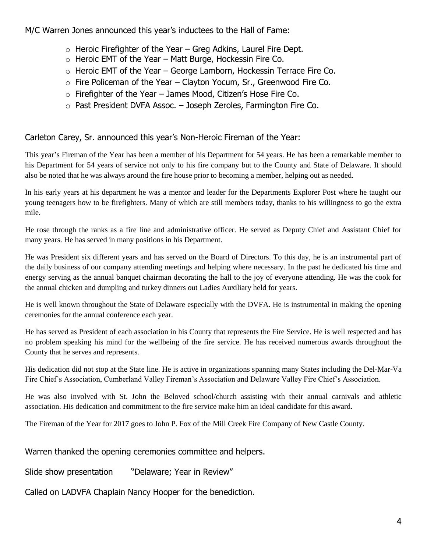M/C Warren Jones announced this year's inductees to the Hall of Fame:

- $\circ$  Heroic Firefighter of the Year Greg Adkins, Laurel Fire Dept.
- $\circ$  Heroic EMT of the Year Matt Burge, Hockessin Fire Co.
- $\circ$  Heroic EMT of the Year George Lamborn, Hockessin Terrace Fire Co.
- $\circ$  Fire Policeman of the Year Clayton Yocum, Sr., Greenwood Fire Co.
- $\circ$  Firefighter of the Year James Mood, Citizen's Hose Fire Co.
- o Past President DVFA Assoc. Joseph Zeroles, Farmington Fire Co.

# Carleton Carey, Sr. announced this year's Non-Heroic Fireman of the Year:

This year's Fireman of the Year has been a member of his Department for 54 years. He has been a remarkable member to his Department for 54 years of service not only to his fire company but to the County and State of Delaware. It should also be noted that he was always around the fire house prior to becoming a member, helping out as needed.

In his early years at his department he was a mentor and leader for the Departments Explorer Post where he taught our young teenagers how to be firefighters. Many of which are still members today, thanks to his willingness to go the extra mile.

He rose through the ranks as a fire line and administrative officer. He served as Deputy Chief and Assistant Chief for many years. He has served in many positions in his Department.

He was President six different years and has served on the Board of Directors. To this day, he is an instrumental part of the daily business of our company attending meetings and helping where necessary. In the past he dedicated his time and energy serving as the annual banquet chairman decorating the hall to the joy of everyone attending. He was the cook for the annual chicken and dumpling and turkey dinners out Ladies Auxiliary held for years.

He is well known throughout the State of Delaware especially with the DVFA. He is instrumental in making the opening ceremonies for the annual conference each year.

He has served as President of each association in his County that represents the Fire Service. He is well respected and has no problem speaking his mind for the wellbeing of the fire service. He has received numerous awards throughout the County that he serves and represents.

His dedication did not stop at the State line. He is active in organizations spanning many States including the Del-Mar-Va Fire Chief's Association, Cumberland Valley Fireman's Association and Delaware Valley Fire Chief's Association.

He was also involved with St. John the Beloved school/church assisting with their annual carnivals and athletic association. His dedication and commitment to the fire service make him an ideal candidate for this award.

The Fireman of the Year for 2017 goes to John P. Fox of the Mill Creek Fire Company of New Castle County.

## Warren thanked the opening ceremonies committee and helpers.

Slide show presentation "Delaware; Year in Review"

Called on LADVFA Chaplain Nancy Hooper for the benediction.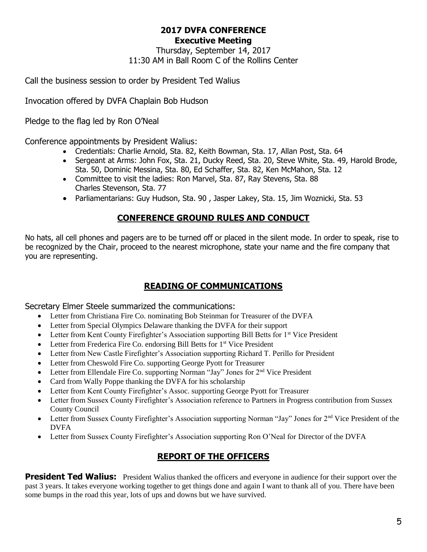#### **2017 DVFA CONFERENCE Executive Meeting**

Thursday, September 14, 2017 11:30 AM in Ball Room C of the Rollins Center

Call the business session to order by President Ted Walius

Invocation offered by DVFA Chaplain Bob Hudson

Pledge to the flag led by Ron O'Neal

Conference appointments by President Walius:

- Credentials: Charlie Arnold, Sta. 82, Keith Bowman, Sta. 17, Allan Post, Sta. 64
- Sergeant at Arms: John Fox, Sta. 21, Ducky Reed, Sta. 20, Steve White, Sta. 49, Harold Brode, Sta. 50, Dominic Messina, Sta. 80, Ed Schaffer, Sta. 82, Ken McMahon, Sta. 12
- Committee to visit the ladies: Ron Marvel, Sta. 87, Ray Stevens, Sta. 88 Charles Stevenson, Sta. 77
- Parliamentarians: Guy Hudson, Sta. 90, Jasper Lakey, Sta. 15, Jim Woznicki, Sta. 53

# **CONFERENCE GROUND RULES AND CONDUCT**

No hats, all cell phones and pagers are to be turned off or placed in the silent mode. In order to speak, rise to be recognized by the Chair, proceed to the nearest microphone, state your name and the fire company that you are representing.

# **READING OF COMMUNICATIONS**

Secretary Elmer Steele summarized the communications:

- Letter from Christiana Fire Co. nominating Bob Steinman for Treasurer of the DVFA
- Letter from Special Olympics Delaware thanking the DVFA for their support
- Letter from Kent County Firefighter's Association supporting Bill Betts for 1<sup>st</sup> Vice President
- Letter from Frederica Fire Co. endorsing Bill Betts for 1<sup>st</sup> Vice President
- Letter from New Castle Firefighter's Association supporting Richard T. Perillo for President
- Letter from Cheswold Fire Co. supporting George Pyott for Treasurer
- Letter from Ellendale Fire Co. supporting Norman "Jay" Jones for  $2<sup>nd</sup>$  Vice President
- Card from Wally Poppe thanking the DVFA for his scholarship
- Letter from Kent County Firefighter's Assoc. supporting George Pyott for Treasurer
- Letter from Sussex County Firefighter's Association reference to Partners in Progress contribution from Sussex County Council
- Letter from Sussex County Firefighter's Association supporting Norman "Jay" Jones for 2<sup>nd</sup> Vice President of the DVFA
- Letter from Sussex County Firefighter's Association supporting Ron O'Neal for Director of the DVFA

# **REPORT OF THE OFFICERS**

**President Ted Walius:** President Walius thanked the officers and everyone in audience for their support over the past 3 years. It takes everyone working together to get things done and again I want to thank all of you. There have been some bumps in the road this year, lots of ups and downs but we have survived.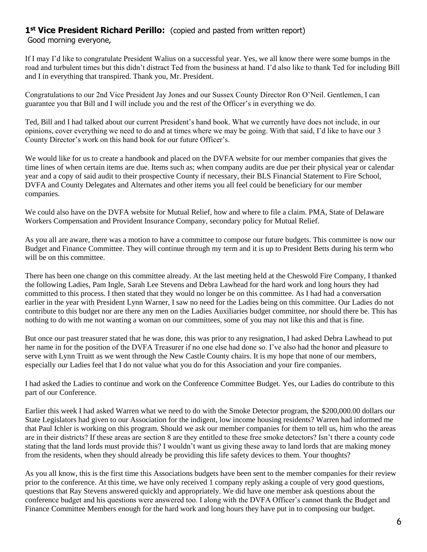# 1<sup>st</sup> Vice President Richard Perillo: (copied and pasted from written report)

Good morning everyone,

If I may I'd like to congratulate President Walius on a successful year. Yes, we all know there were some bumps in the road and turbulent times but this didn't distract Ted from the business at hand. I'd also like to thank Ted for including Bill and I in everything that transpired. Thank you, Mr. President.

Congratulations to our 2nd Vice President Jay Jones and our Sussex County Director Ron O'Neil. Gentlemen, I can guarantee you that Bill and I will include you and the rest of the Officer's in everything we do.

Ted, Bill and I had talked about our current President's hand book. What we currently have does not include, in our opinions, cover everything we need to do and at times where we may be going. With that said, I'd like to have our 3 County Director's work on this hand book for our future Officer's.

We would like for us to create a handbook and placed on the DVFA website for our member companies that gives the time lines of when certain items are due. Items such as; when company audits are due per their physical year or calendar year and a copy of said audit to their prospective County if necessary, their BLS Financial Statement to Fire School, DVFA and County Delegates and Alternates and other items you all feel could be beneficiary for our member companies.

We could also have on the DVFA website for Mutual Relief, how and where to file a claim. PMA, State of Delaware Workers Compensation and Provident Insurance Company, secondary policy for Mutual Relief.

As you all are aware, there was a motion to have a committee to compose our future budgets. This committee is now our Budget and Finance Committee. They will continue through my term and it is up to President Betts during his term who will be on this committee.

There has been one change on this committee already. At the last meeting held at the Cheswold Fire Company, I thanked the following Ladies, Pam Ingle, Sarah Lee Stevens and Debra Lawhead for the hard work and long hours they had committed to this process. I then stated that they would no longer be on this committee. As I had had a conversation earlier in the year with President Lynn Warner, I saw no need for the Ladies being on this committee. Our Ladies do not contribute to this budget nor are there any men on the Ladies Auxiliaries budget committee, nor should there be. This has nothing to do with me not wanting a woman on our committees, some of you may not like this and that is fine.

But once our past treasurer stated that he was done, this was prior to any resignation, I had asked Debra Lawhead to put her name in for the position of the DVFA Treasurer if no one else had done so. I've also had the honor and pleasure to serve with Lynn Truitt as we went through the New Castle County chairs. It is my hope that none of our members, especially our Ladies feel that I do not value what you do for this Association and your fire companies.

I had asked the Ladies to continue and work on the Conference Committee Budget. Yes, our Ladies do contribute to this part of our Conference.

Earlier this week I had asked Warren what we need to do with the Smoke Detector program, the \$200,000.00 dollars our State Legislators had given to our Association for the indigent, low income housing residents? Warren had informed me that Paul Ichler is working on this program. Should we ask our member companies for them to tell us, him who the areas are in their districts? If these areas are section 8 are they entitled to these free smoke detectors? Isn't there a county code stating that the land lords must provide this? I wouldn't want us giving these away to land lords that are making money from the residents, when they should already be providing this life safety devices to them. Your thoughts?

As you all know, this is the first time this Associations budgets have been sent to the member companies for their review prior to the conference. At this time, we have only received 1 company reply asking a couple of very good questions, questions that Ray Stevens answered quickly and appropriately. We did have one member ask questions about the conference budget and his questions were answered too. I along with the DVFA Officer's cannot thank the Budget and Finance Committee Members enough for the hard work and long hours they have put in to composing our budget.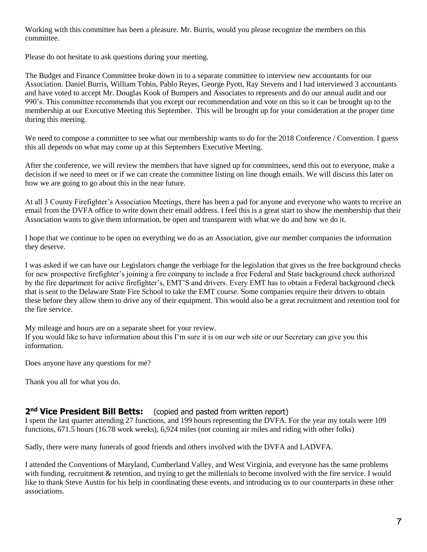Working with this committee has been a pleasure. Mr. Burris, would you please recognize the members on this committee.

Please do not hesitate to ask questions during your meeting.

The Budget and Finance Committee broke down in to a separate committee to interview new accountants for our Association. Daniel Burris, William Tobin, Pablo Reyes, George Pyott, Ray Stevens and I had interviewed 3 accountants and have voted to accept Mr. Douglas Kook of Bumpers and Associates to represents and do our annual audit and our 990's. This committee recommends that you except our recommendation and vote on this so it can be brought up to the membership at our Executive Meeting this September. This will be brought up for your consideration at the proper time during this meeting.

We need to compose a committee to see what our membership wants to do for the 2018 Conference / Convention. I guess this all depends on what may come up at this Septembers Executive Meeting.

After the conference, we will review the members that have signed up for committees, send this out to everyone, make a decision if we need to meet or if we can create the committee listing on line though emails. We will discuss this later on how we are going to go about this in the near future.

At all 3 County Firefighter's Association Meetings, there has been a pad for anyone and everyone who wants to receive an email from the DVFA office to write down their email address. I feel this is a great start to show the membership that their Association wants to give them information, be open and transparent with what we do and how we do it.

I hope that we continue to be open on everything we do as an Association, give our member companies the information they deserve.

I was asked if we can have our Legislators change the verbiage for the legislation that gives us the free background checks for new prospective firefighter's joining a fire company to include a free Federal and State background check authorized by the fire department for active firefighter's, EMT'S and drivers. Every EMT has to obtain a Federal background check that is sent to the Delaware State Fire School to take the EMT course. Some companies require their drivers to obtain these before they allow them to drive any of their equipment. This would also be a great recruitment and retention tool for the fire service.

My mileage and hours are on a separate sheet for your review.

If you would like to have information about this I'm sure it is on our web site or our Secretary can give you this information.

Does anyone have any questions for me?

Thank you all for what you do.

#### 2<sup>nd</sup> Vice President Bill Betts: (copied and pasted from written report)

I spent the last quarter attending 27 functions, and 199 hours representing the DVFA. For the year my totals were 109 functions, 671.5 hours (16.78 work weeks), 6,924 miles (not counting air miles and riding with other folks)

Sadly, there were many funerals of good friends and others involved with the DVFA and LADVFA.

I attended the Conventions of Maryland, Cumberland Valley, and West Virginia, and everyone has the same problems with funding, recruitment & retention, and trying to get the millenials to become involved with the fire service. I would like to thank Steve Austin for his help in coordinating these events, and introducing us to our counterparts in these other associations.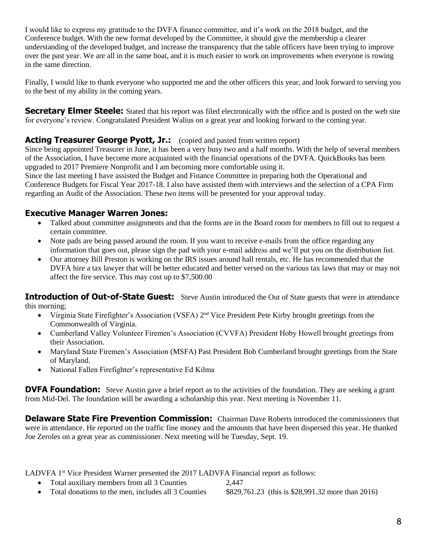I would like to express my gratitude to the DVFA finance committee, and it's work on the 2018 budget, and the Conference budget. With the new format developed by the Committee, it should give the membership a clearer understanding of the developed budget, and increase the transparency that the table officers have been trying to improve over the past year. We are all in the same boat, and it is much easier to work on improvements when everyone is rowing in the same direction.

Finally, I would like to thank everyone who supported me and the other officers this year, and look forward to serving you to the best of my ability in the coming years.

**Secretary Elmer Steele:** Stated that his report was filed electronically with the office and is posted on the web site for everyone's review. Congratulated President Walius on a great year and looking forward to the coming year.

#### Acting Treasurer George Pyott, Jr.: (copied and pasted from written report)

Since being appointed Treasurer in June, it has been a very busy two and a half months. With the help of several members of the Association, I have become more acquainted with the financial operations of the DVFA. QuickBooks has been upgraded to 2017 Premiere Nonprofit and I am becoming more comfortable using it.

Since the last meeting I have assisted the Budget and Finance Committee in preparing both the Operational and Conference Budgets for Fiscal Year 2017-18. I also have assisted them with interviews and the selection of a CPA Firm regarding an Audit of the Association. These two items will be presented for your approval today.

## **Executive Manager Warren Jones:**

- Talked about committee assignments and that the forms are in the Board room for members to fill out to request a certain committee.
- Note pads are being passed around the room. If you want to receive e-mails from the office regarding any information that goes out, please sign the pad with your e-mail address and we'll put you on the distribution list.
- Our attorney Bill Preston is working on the IRS issues around hall rentals, etc. He has recommended that the DVFA hire a tax lawyer that will be better educated and better versed on the various tax laws that may or may not affect the fire service. This may cost up to \$7,500.00

**Introduction of Out-of-State Guest:** Steve Austin introduced the Out of State guests that were in attendance this morning;

- Virginia State Firefighter's Association (VSFA) 2<sup>nd</sup> Vice President Pete Kirby brought greetings from the Commonwealth of Virginia.
- Cumberland Valley Volunteer Firemen's Association (CVVFA) President Hoby Howell brought greetings from their Association.
- Maryland State Firemen's Association (MSFA) Past President Bob Cumberland brought greetings from the State of Maryland.
- National Fallen Firefighter's representative Ed Kilma

**DVFA Foundation:** Steve Austin gave a brief report as to the activities of the foundation. They are seeking a grant from Mid-Del. The foundation will be awarding a scholarship this year. Next meeting is November 11.

**Delaware State Fire Prevention Commission:** Chairman Dave Roberts introduced the commissioners that were in attendance. He reported on the traffic fine money and the amounts that have been dispersed this year. He thanked Joe Zeroles on a great year as commissioner. Next meeting will be Tuesday, Sept. 19.

LADVFA 1<sup>st</sup> Vice President Warner presented the 2017 LADVFA Financial report as follows:

- Total auxiliary members from all 3 Counties 2,447
- Total donations to the men, includes all 3 Counties \$829,761.23 (this is \$28,991.32 more than 2016)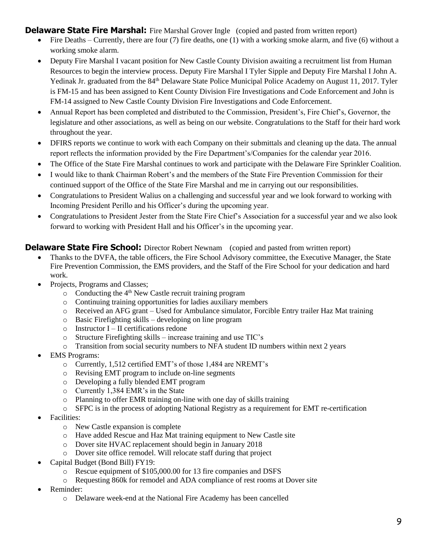**Delaware State Fire Marshal:** Fire Marshal Grover Ingle (copied and pasted from written report)

- Fire Deaths Currently, there are four  $(7)$  fire deaths, one  $(1)$  with a working smoke alarm, and five  $(6)$  without a working smoke alarm.
- Deputy Fire Marshal I vacant position for New Castle County Division awaiting a recruitment list from Human Resources to begin the interview process. Deputy Fire Marshal I Tyler Sipple and Deputy Fire Marshal I John A. Yedinak Jr. graduated from the 84<sup>th</sup> Delaware State Police Municipal Police Academy on August 11, 2017. Tyler is FM-15 and has been assigned to Kent County Division Fire Investigations and Code Enforcement and John is FM-14 assigned to New Castle County Division Fire Investigations and Code Enforcement.
- Annual Report has been completed and distributed to the Commission, President's, Fire Chief's, Governor, the legislature and other associations, as well as being on our website. Congratulations to the Staff for their hard work throughout the year.
- DFIRS reports we continue to work with each Company on their submittals and cleaning up the data. The annual report reflects the information provided by the Fire Department's/Companies for the calendar year 2016.
- The Office of the State Fire Marshal continues to work and participate with the Delaware Fire Sprinkler Coalition.
- I would like to thank Chairman Robert's and the members of the State Fire Prevention Commission for their continued support of the Office of the State Fire Marshal and me in carrying out our responsibilities.
- Congratulations to President Walius on a challenging and successful year and we look forward to working with Incoming President Perillo and his Officer's during the upcoming year.
- Congratulations to President Jester from the State Fire Chief's Association for a successful year and we also look forward to working with President Hall and his Officer's in the upcoming year.

#### **Delaware State Fire School:** Director Robert Newnam (copied and pasted from written report)

- Thanks to the DVFA, the table officers, the Fire School Advisory committee, the Executive Manager, the State Fire Prevention Commission, the EMS providers, and the Staff of the Fire School for your dedication and hard work.
- Projects, Programs and Classes;
	- $\circ$  Conducting the 4<sup>th</sup> New Castle recruit training program
	- o Continuing training opportunities for ladies auxiliary members
	- o Received an AFG grant Used for Ambulance simulator, Forcible Entry trailer Haz Mat training
	- o Basic Firefighting skills developing on line program
	- $\circ$  Instructor I II certifications redone
	- o Structure Firefighting skills increase training and use TIC's
	- o Transition from social security numbers to NFA student ID numbers within next 2 years
- EMS Programs:
	- o Currently, 1,512 certified EMT's of those 1,484 are NREMT's
	- o Revising EMT program to include on-line segments
	- o Developing a fully blended EMT program
	- o Currently 1,384 EMR's in the State
	- o Planning to offer EMR training on-line with one day of skills training
	- $\circ$  SFPC is in the process of adopting National Registry as a requirement for EMT re-certification
- Facilities:
	- o New Castle expansion is complete
	- o Have added Rescue and Haz Mat training equipment to New Castle site
	- o Dover site HVAC replacement should begin in January 2018
	- o Dover site office remodel. Will relocate staff during that project
- Capital Budget (Bond Bill) FY19:
	- o Rescue equipment of \$105,000.00 for 13 fire companies and DSFS
	- o Requesting 860k for remodel and ADA compliance of rest rooms at Dover site
- Reminder:
	- o Delaware week-end at the National Fire Academy has been cancelled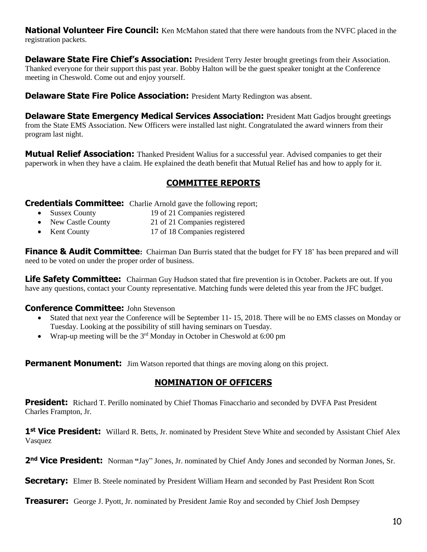**National Volunteer Fire Council:** Ken McMahon stated that there were handouts from the NVFC placed in the registration packets.

**Delaware State Fire Chief's Association:** President Terry Jester brought greetings from their Association. Thanked everyone for their support this past year. Bobby Halton will be the guest speaker tonight at the Conference meeting in Cheswold. Come out and enjoy yourself.

**Delaware State Fire Police Association:** President Marty Redington was absent.

**Delaware State Emergency Medical Services Association:** President Matt Gadjos brought greetings from the State EMS Association. New Officers were installed last night. Congratulated the award winners from their program last night.

**Mutual Relief Association:** Thanked President Walius for a successful year. Advised companies to get their paperwork in when they have a claim. He explained the death benefit that Mutual Relief has and how to apply for it.

## **COMMITTEE REPORTS**

**Credentials Committee:** Charlie Arnold gave the following report;

- Sussex County 19 of 21 Companies registered
- New Castle County 21 of 21 Companies registered
- Kent County 17 of 18 Companies registered

**Finance & Audit Committee:** Chairman Dan Burris stated that the budget for FY 18' has been prepared and will need to be voted on under the proper order of business.

**Life Safety Committee:** Chairman Guy Hudson stated that fire prevention is in October. Packets are out. If you have any questions, contact your County representative. Matching funds were deleted this year from the JFC budget.

#### **Conference Committee:** John Stevenson

- Stated that next year the Conference will be September 11- 15, 2018. There will be no EMS classes on Monday or Tuesday. Looking at the possibility of still having seminars on Tuesday.
- Wrap-up meeting will be the  $3<sup>rd</sup>$  Monday in October in Cheswold at 6:00 pm

**Permanent Monument:** Jim Watson reported that things are moving along on this project.

## **NOMINATION OF OFFICERS**

**President:** Richard T. Perillo nominated by Chief Thomas Finacchario and seconded by DVFA Past President Charles Frampton, Jr.

1<sup>st</sup> Vice President: Willard R. Betts, Jr. nominated by President Steve White and seconded by Assistant Chief Alex Vasquez

2<sup>nd</sup> Vice President: Norman "Jay" Jones, Jr. nominated by Chief Andy Jones and seconded by Norman Jones, Sr.

**Secretary:** Elmer B. Steele nominated by President William Hearn and seconded by Past President Ron Scott

**Treasurer:** George J. Pyott, Jr. nominated by President Jamie Roy and seconded by Chief Josh Dempsey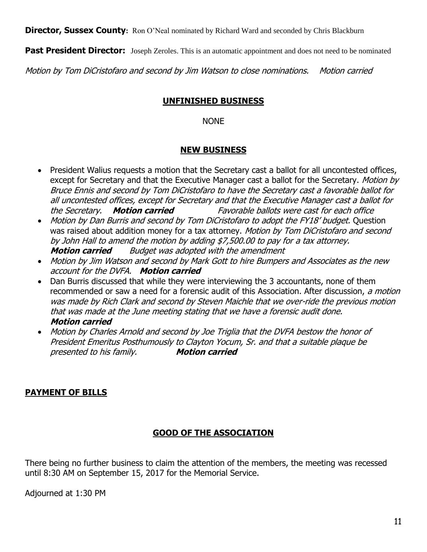**Director, Sussex County:** Ron O'Neal nominated by Richard Ward and seconded by Chris Blackburn

**Past President Director:** Joseph Zeroles. This is an automatic appointment and does not need to be nominated

Motion by Tom DiCristofaro and second by Jim Watson to close nominations. Motion carried

## **UNFINISHED BUSINESS**

#### NONE

#### **NEW BUSINESS**

- President Walius requests a motion that the Secretary cast a ballot for all uncontested offices, except for Secretary and that the Executive Manager cast a ballot for the Secretary. Motion by Bruce Ennis and second by Tom DiCristofaro to have the Secretary cast a favorable ballot for all uncontested offices, except for Secretary and that the Executive Manager cast a ballot for the Secretary. **Motion carried** Favorable ballots were cast for each office
- Motion by Dan Burris and second by Tom DiCristofaro to adopt the FY18' budget. Question was raised about addition money for a tax attorney. Motion by Tom DiCristofaro and second by John Hall to amend the motion by adding \$7,500.00 to pay for a tax attorney. **Motion carried** Budget was adopted with the amendment
- Motion by Jim Watson and second by Mark Gott to hire Bumpers and Associates as the new account for the DVFA. **Motion carried**
- Dan Burris discussed that while they were interviewing the 3 accountants, none of them recommended or saw a need for a forensic audit of this Association. After discussion, a motion was made by Rich Clark and second by Steven Maichle that we over-ride the previous motion that was made at the June meeting stating that we have a forensic audit done. **Motion carried**
- Motion by Charles Arnold and second by Joe Triglia that the DVFA bestow the honor of President Emeritus Posthumously to Clayton Yocum, Sr. and that a suitable plaque be presented to his family. **Motion carried**

# **PAYMENT OF BILLS**

## **GOOD OF THE ASSOCIATION**

There being no further business to claim the attention of the members, the meeting was recessed until 8:30 AM on September 15, 2017 for the Memorial Service.

Adjourned at 1:30 PM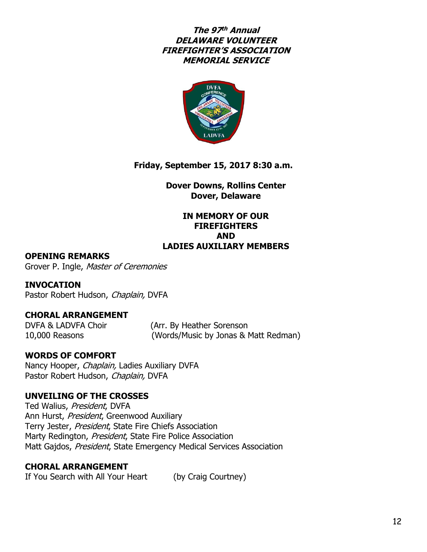# **The 97 th Annual DELAWARE VOLUNTEER FIREFIGHTER'S ASSOCIATION MEMORIAL SERVICE**



# **Friday, September 15, 2017 8:30 a.m.**

**Dover Downs, Rollins Center Dover, Delaware**

#### **IN MEMORY OF OUR FIREFIGHTERS AND LADIES AUXILIARY MEMBERS**

#### **OPENING REMARKS**

Grover P. Ingle, Master of Ceremonies

**INVOCATION** Pastor Robert Hudson, Chaplain, DVFA

## **CHORAL ARRANGEMENT**

DVFA & LADVFA Choir (Arr. By Heather Sorenson 10,000 Reasons (Words/Music by Jonas & Matt Redman)

## **WORDS OF COMFORT**

Nancy Hooper, Chaplain, Ladies Auxiliary DVFA Pastor Robert Hudson, Chaplain, DVFA

## **UNVEILING OF THE CROSSES**

Ted Walius, President, DVFA Ann Hurst, President, Greenwood Auxiliary Terry Jester, President, State Fire Chiefs Association Marty Redington, President, State Fire Police Association Matt Gajdos, President, State Emergency Medical Services Association

## **CHORAL ARRANGEMENT**

If You Search with All Your Heart (by Craig Courtney)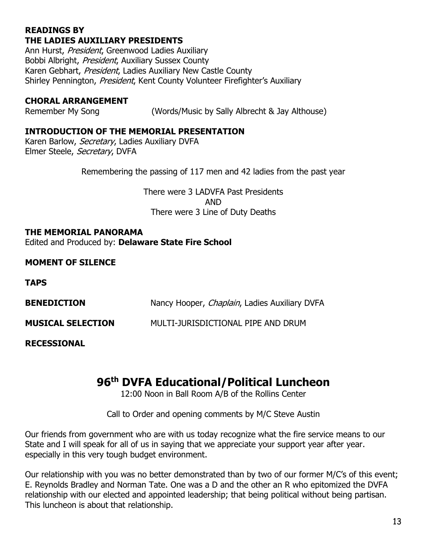# **READINGS BY THE LADIES AUXILIARY PRESIDENTS**

Ann Hurst, President, Greenwood Ladies Auxiliary Bobbi Albright, President, Auxiliary Sussex County Karen Gebhart, President, Ladies Auxiliary New Castle County Shirley Pennington, President, Kent County Volunteer Firefighter's Auxiliary

# **CHORAL ARRANGEMENT**

Remember My Song (Words/Music by Sally Albrecht & Jay Althouse)

# **INTRODUCTION OF THE MEMORIAL PRESENTATION**

Karen Barlow, Secretary, Ladies Auxiliary DVFA Elmer Steele, Secretary, DVFA

Remembering the passing of 117 men and 42 ladies from the past year

There were 3 LADVFA Past Presidents AND There were 3 Line of Duty Deaths

#### **THE MEMORIAL PANORAMA**

Edited and Produced by: **Delaware State Fire School**

# **MOMENT OF SILENCE**

**TAPS**

| <b>BENEDICTION</b>       | Nancy Hooper, <i>Chaplain</i> , Ladies Auxiliary DVFA |
|--------------------------|-------------------------------------------------------|
| <b>MUSICAL SELECTION</b> | MULTI-JURISDICTIONAL PIPE AND DRUM                    |

**RECESSIONAL**

# **96th DVFA Educational/Political Luncheon**

12:00 Noon in Ball Room A/B of the Rollins Center

Call to Order and opening comments by M/C Steve Austin

Our friends from government who are with us today recognize what the fire service means to our State and I will speak for all of us in saying that we appreciate your support year after year. especially in this very tough budget environment.

Our relationship with you was no better demonstrated than by two of our former M/C's of this event; E. Reynolds Bradley and Norman Tate. One was a D and the other an R who epitomized the DVFA relationship with our elected and appointed leadership; that being political without being partisan. This luncheon is about that relationship.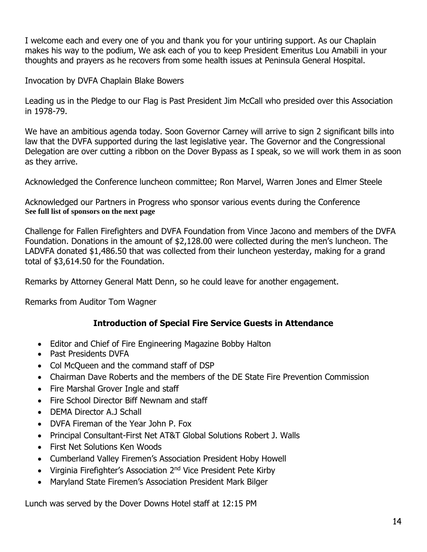I welcome each and every one of you and thank you for your untiring support. As our Chaplain makes his way to the podium, We ask each of you to keep President Emeritus Lou Amabili in your thoughts and prayers as he recovers from some health issues at Peninsula General Hospital.

Invocation by DVFA Chaplain Blake Bowers

Leading us in the Pledge to our Flag is Past President Jim McCall who presided over this Association in 1978-79.

We have an ambitious agenda today. Soon Governor Carney will arrive to sign 2 significant bills into law that the DVFA supported during the last legislative year. The Governor and the Congressional Delegation are over cutting a ribbon on the Dover Bypass as I speak, so we will work them in as soon as they arrive.

Acknowledged the Conference luncheon committee; Ron Marvel, Warren Jones and Elmer Steele

Acknowledged our Partners in Progress who sponsor various events during the Conference **See full list of sponsors on the next page**

Challenge for Fallen Firefighters and DVFA Foundation from Vince Jacono and members of the DVFA Foundation. Donations in the amount of \$2,128.00 were collected during the men's luncheon. The LADVFA donated \$1,486.50 that was collected from their luncheon yesterday, making for a grand total of \$3,614.50 for the Foundation.

Remarks by Attorney General Matt Denn, so he could leave for another engagement.

Remarks from Auditor Tom Wagner

# **Introduction of Special Fire Service Guests in Attendance**

- Editor and Chief of Fire Engineering Magazine Bobby Halton
- Past Presidents DVFA
- Col McQueen and the command staff of DSP
- Chairman Dave Roberts and the members of the DE State Fire Prevention Commission
- Fire Marshal Grover Ingle and staff
- Fire School Director Biff Newnam and staff
- **DEMA Director A.J Schall**
- DVFA Fireman of the Year John P. Fox
- Principal Consultant-First Net AT&T Global Solutions Robert J. Walls
- First Net Solutions Ken Woods
- Cumberland Valley Firemen's Association President Hoby Howell
- Virginia Firefighter's Association 2<sup>nd</sup> Vice President Pete Kirby
- Maryland State Firemen's Association President Mark Bilger

Lunch was served by the Dover Downs Hotel staff at 12:15 PM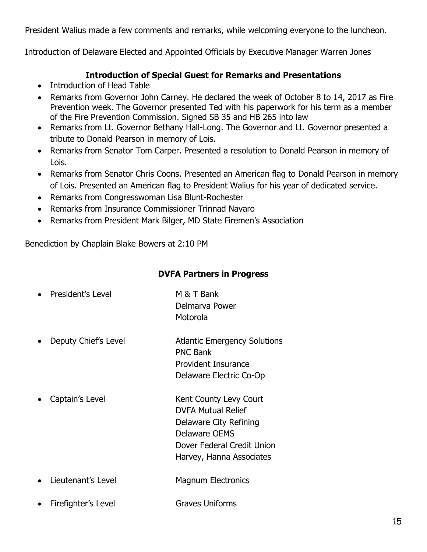President Walius made a few comments and remarks, while welcoming everyone to the luncheon.

Introduction of Delaware Elected and Appointed Officials by Executive Manager Warren Jones

# **Introduction of Special Guest for Remarks and Presentations**

- Introduction of Head Table
- Remarks from Governor John Carney. He declared the week of October 8 to 14, 2017 as Fire Prevention week. The Governor presented Ted with his paperwork for his term as a member of the Fire Prevention Commission. Signed SB 35 and HB 265 into law
- Remarks from Lt. Governor Bethany Hall-Long. The Governor and Lt. Governor presented a tribute to Donald Pearson in memory of Lois.
- Remarks from Senator Tom Carper. Presented a resolution to Donald Pearson in memory of Lois.
- Remarks from Senator Chris Coons. Presented an American flag to Donald Pearson in memory of Lois. Presented an American flag to President Walius for his year of dedicated service.
- Remarks from Congresswoman Lisa Blunt-Rochester
- Remarks from Insurance Commissioner Trinnad Navaro
- Remarks from President Mark Bilger, MD State Firemen's Association

Benediction by Chaplain Blake Bowers at 2:10 PM

# **DVFA Partners in Progress**

| President's Level    | M & T Bank<br>Delmarva Power<br>Motorola                                                                                                                 |
|----------------------|----------------------------------------------------------------------------------------------------------------------------------------------------------|
| Deputy Chief's Level | <b>Atlantic Emergency Solutions</b><br><b>PNC Bank</b><br><b>Provident Insurance</b><br>Delaware Electric Co-Op                                          |
| Captain's Level      | Kent County Levy Court<br><b>DVFA Mutual Relief</b><br>Delaware City Refining<br>Delaware OEMS<br>Dover Federal Credit Union<br>Harvey, Hanna Associates |
| Lieutenant's Level   | <b>Magnum Electronics</b>                                                                                                                                |

Firefighter's Level Graves Uniforms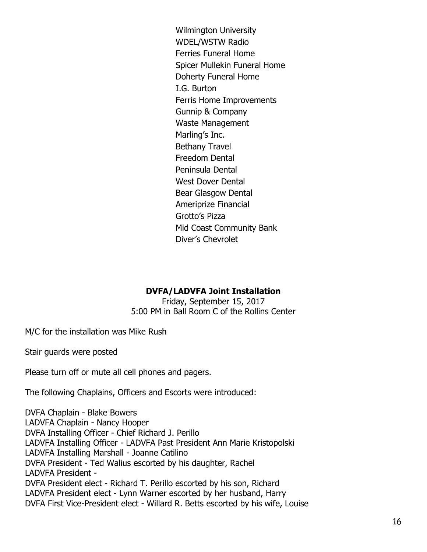Wilmington University WDEL/WSTW Radio Ferries Funeral Home Spicer Mullekin Funeral Home Doherty Funeral Home I.G. Burton Ferris Home Improvements Gunnip & Company Waste Management Marling's Inc. Bethany Travel Freedom Dental Peninsula Dental West Dover Dental Bear Glasgow Dental Ameriprize Financial Grotto's Pizza Mid Coast Community Bank Diver's Chevrolet

## **DVFA/LADVFA Joint Installation**

Friday, September 15, 2017 5:00 PM in Ball Room C of the Rollins Center

M/C for the installation was Mike Rush

Stair guards were posted

Please turn off or mute all cell phones and pagers.

The following Chaplains, Officers and Escorts were introduced:

DVFA Chaplain - Blake Bowers LADVFA Chaplain - Nancy Hooper DVFA Installing Officer - Chief Richard J. Perillo LADVFA Installing Officer - LADVFA Past President Ann Marie Kristopolski LADVFA Installing Marshall - Joanne Catilino DVFA President - Ted Walius escorted by his daughter, Rachel LADVFA President - DVFA President elect - Richard T. Perillo escorted by his son, Richard LADVFA President elect - Lynn Warner escorted by her husband, Harry DVFA First Vice-President elect - Willard R. Betts escorted by his wife, Louise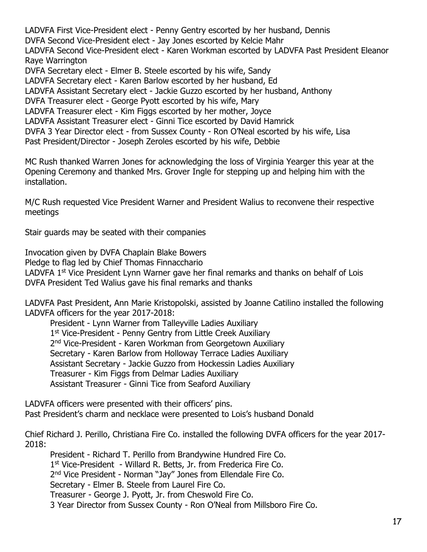LADVFA First Vice-President elect - Penny Gentry escorted by her husband, Dennis DVFA Second Vice-President elect - Jay Jones escorted by Kelcie Mahr LADVFA Second Vice-President elect - Karen Workman escorted by LADVFA Past President Eleanor Raye Warrington DVFA Secretary elect - Elmer B. Steele escorted by his wife, Sandy LADVFA Secretary elect - Karen Barlow escorted by her husband, Ed LADVFA Assistant Secretary elect - Jackie Guzzo escorted by her husband, Anthony DVFA Treasurer elect - George Pyott escorted by his wife, Mary LADVFA Treasurer elect - Kim Figgs escorted by her mother, Joyce LADVFA Assistant Treasurer elect - Ginni Tice escorted by David Hamrick DVFA 3 Year Director elect - from Sussex County - Ron O'Neal escorted by his wife, Lisa Past President/Director - Joseph Zeroles escorted by his wife, Debbie

MC Rush thanked Warren Jones for acknowledging the loss of Virginia Yearger this year at the Opening Ceremony and thanked Mrs. Grover Ingle for stepping up and helping him with the installation.

M/C Rush requested Vice President Warner and President Walius to reconvene their respective meetings

Stair guards may be seated with their companies

Invocation given by DVFA Chaplain Blake Bowers Pledge to flag led by Chief Thomas Finnacchario LADVFA 1<sup>st</sup> Vice President Lynn Warner gave her final remarks and thanks on behalf of Lois DVFA President Ted Walius gave his final remarks and thanks

LADVFA Past President, Ann Marie Kristopolski, assisted by Joanne Catilino installed the following LADVFA officers for the year 2017-2018:

President - Lynn Warner from Talleyville Ladies Auxiliary 1<sup>st</sup> Vice-President - Penny Gentry from Little Creek Auxiliary 2<sup>nd</sup> Vice-President - Karen Workman from Georgetown Auxiliary Secretary - Karen Barlow from Holloway Terrace Ladies Auxiliary Assistant Secretary - Jackie Guzzo from Hockessin Ladies Auxiliary Treasurer - Kim Figgs from Delmar Ladies Auxiliary Assistant Treasurer - Ginni Tice from Seaford Auxiliary

LADVFA officers were presented with their officers' pins. Past President's charm and necklace were presented to Lois's husband Donald

Chief Richard J. Perillo, Christiana Fire Co. installed the following DVFA officers for the year 2017- 2018:

President - Richard T. Perillo from Brandywine Hundred Fire Co. 1 st Vice-President - Willard R. Betts, Jr. from Frederica Fire Co. 2<sup>nd</sup> Vice President - Norman "Jay" Jones from Ellendale Fire Co. Secretary - Elmer B. Steele from Laurel Fire Co. Treasurer - George J. Pyott, Jr. from Cheswold Fire Co. 3 Year Director from Sussex County - Ron O'Neal from Millsboro Fire Co.